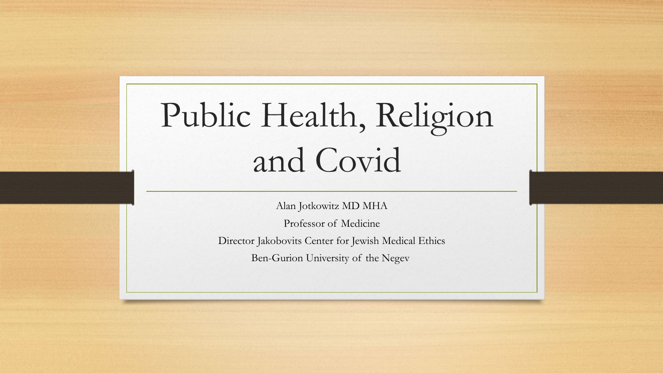# Public Health, Religion and Covid

Alan Jotkowitz MD MHA

Professor of Medicine Director Jakobovits Center for Jewish Medical Ethics

Ben-Gurion University of the Negev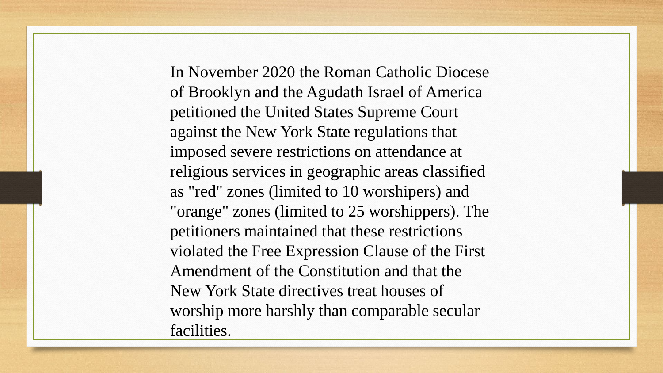In November 2020 the Roman Catholic Diocese of Brooklyn and the Agudath Israel of America petitioned the United States Supreme Court against the New York State regulations that imposed severe restrictions on attendance at religious services in geographic areas classified as "red" zones (limited to 10 worshipers) and "orange" zones (limited to 25 worshippers). The petitioners maintained that these restrictions violated the Free Expression Clause of the First Amendment of the Constitution and that the New York State directives treat houses of worship more harshly than comparable secular facilities.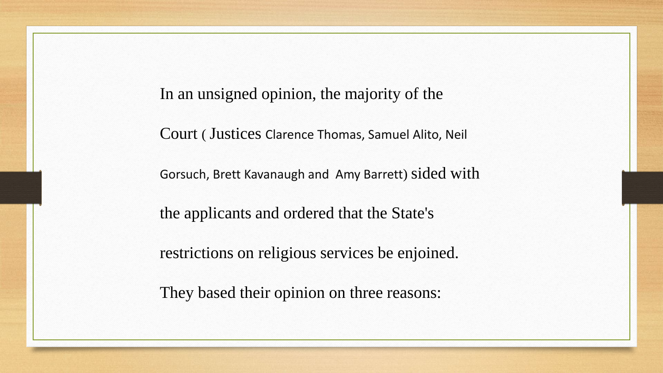In an unsigned opinion, the majority of the

Court ( Justices Clarence Thomas, Samuel Alito, Neil

Gorsuch, Brett Kavanaugh and Amy Barrett) sided with

the applicants and ordered that the State's

restrictions on religious services be enjoined.

They based their opinion on three reasons: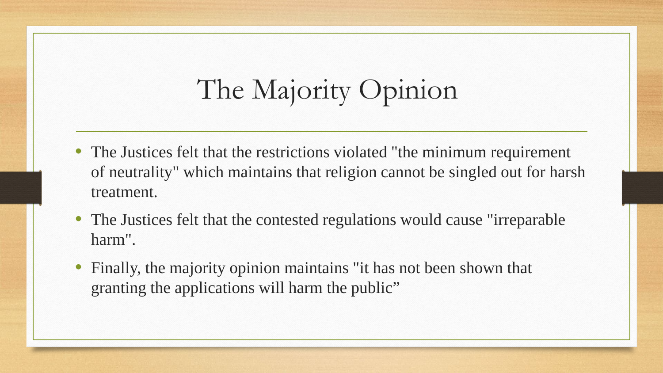# The Majority Opinion

- The Justices felt that the restrictions violated "the minimum requirement of neutrality" which maintains that religion cannot be singled out for harsh treatment.
- The Justices felt that the contested regulations would cause "irreparable harm".
- Finally, the majority opinion maintains "it has not been shown that granting the applications will harm the public"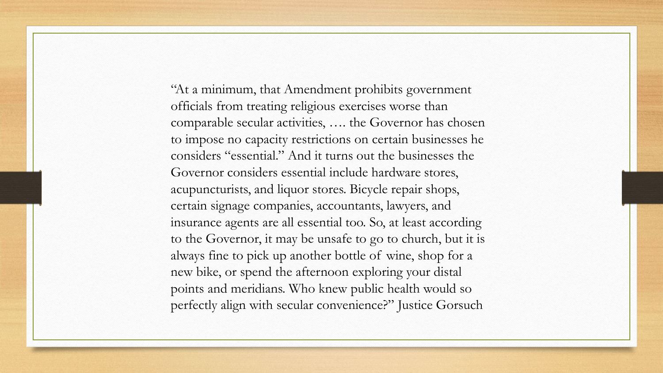"At a minimum, that Amendment prohibits government officials from treating religious exercises worse than comparable secular activities, …. the Governor has chosen to impose no capacity restrictions on certain businesses he considers "essential." And it turns out the businesses the Governor considers essential include hardware stores, acupuncturists, and liquor stores. Bicycle repair shops, certain signage companies, accountants, lawyers, and insurance agents are all essential too. So, at least according to the Governor, it may be unsafe to go to church, but it is always fine to pick up another bottle of wine, shop for a new bike, or spend the afternoon exploring your distal points and meridians. Who knew public health would so perfectly align with secular convenience?" Justice Gorsuch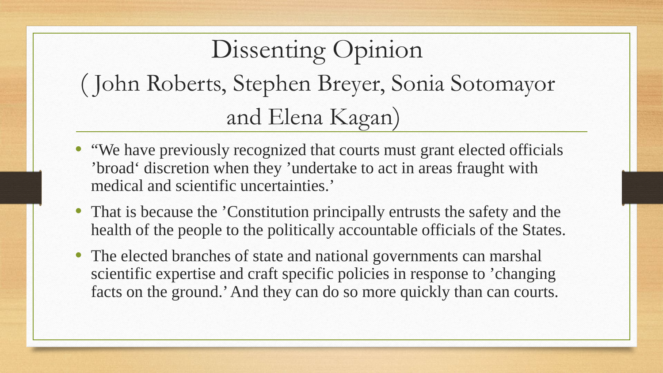### Dissenting Opinion ( John Roberts, Stephen Breyer, Sonia Sotomayor and Elena Kagan)

- "We have previously recognized that courts must grant elected officials 'broad' discretion when they 'undertake to act in areas fraught with medical and scientific uncertainties.'
- That is because the 'Constitution principally entrusts the safety and the health of the people to the politically accountable officials of the States.
- The elected branches of state and national governments can marshal scientific expertise and craft specific policies in response to 'changing facts on the ground.' And they can do so more quickly than can courts.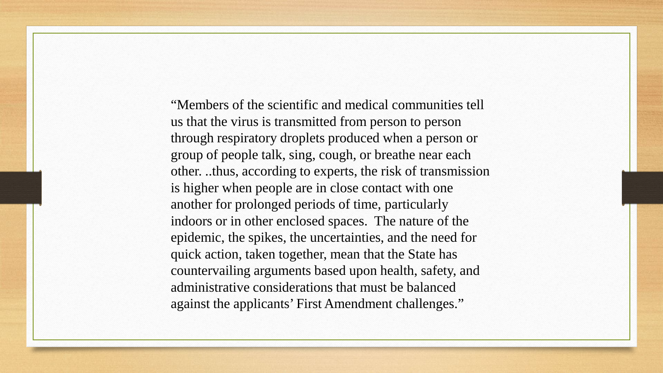"Members of the scientific and medical communities tell us that the virus is transmitted from person to person through respiratory droplets produced when a person or group of people talk, sing, cough, or breathe near each other. ..thus, according to experts, the risk of transmission is higher when people are in close contact with one another for prolonged periods of time, particularly indoors or in other enclosed spaces. The nature of the epidemic, the spikes, the uncertainties, and the need for quick action, taken together, mean that the State has countervailing arguments based upon health, safety, and administrative considerations that must be balanced against the applicants' First Amendment challenges."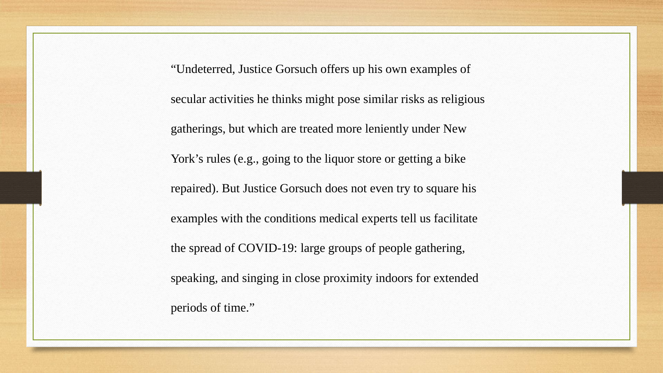"Undeterred, Justice Gorsuch offers up his own examples of secular activities he thinks might pose similar risks as religious gatherings, but which are treated more leniently under New York's rules (e.g., going to the liquor store or getting a bike repaired). But Justice Gorsuch does not even try to square his examples with the conditions medical experts tell us facilitate the spread of COVID-19: large groups of people gathering, speaking, and singing in close proximity indoors for extended periods of time."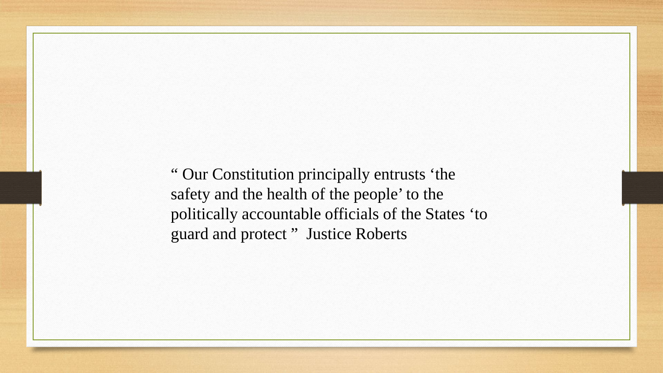" Our Constitution principally entrusts 'the safety and the health of the people' to the politically accountable officials of the States 'to guard and protect " Justice Roberts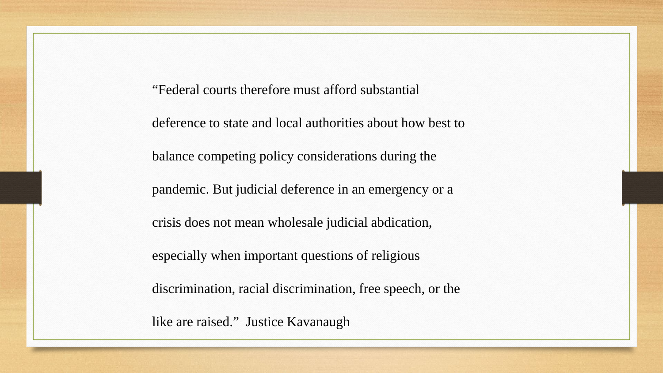"Federal courts therefore must afford substantial deference to state and local authorities about how best to balance competing policy considerations during the pandemic. But judicial deference in an emergency or a crisis does not mean wholesale judicial abdication, especially when important questions of religious discrimination, racial discrimination, free speech, or the

like are raised." Justice Kavanaugh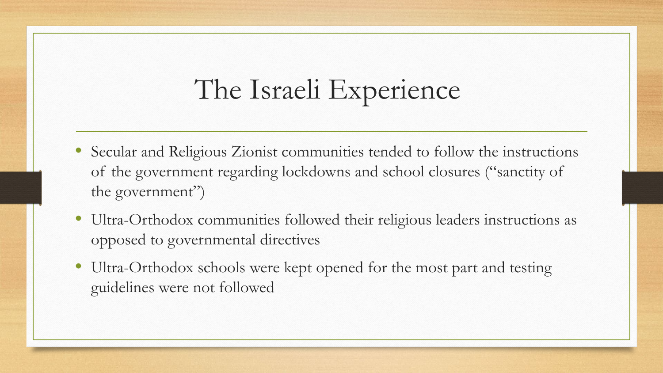### The Israeli Experience

- Secular and Religious Zionist communities tended to follow the instructions of the government regarding lockdowns and school closures ("sanctity of the government")
- Ultra-Orthodox communities followed their religious leaders instructions as opposed to governmental directives
- Ultra-Orthodox schools were kept opened for the most part and testing guidelines were not followed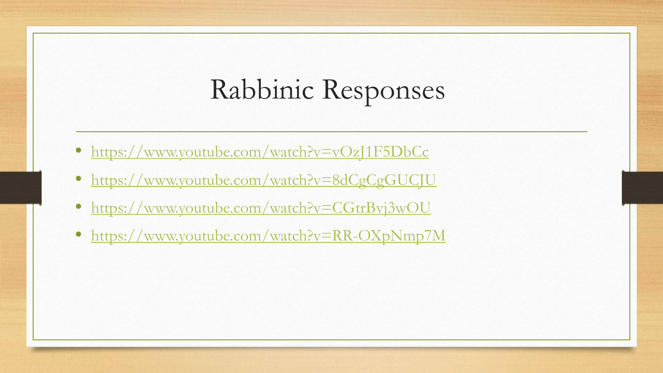# Rabbinic Responses

- <https://www.youtube.com/watch?v=vOzJ1F5DbCc>
- <https://www.youtube.com/watch?v=8dCgCgGUCJU>
- <https://www.youtube.com/watch?v=CGtrBvj3wOU>
- <https://www.youtube.com/watch?v=RR-OXpNmp7M>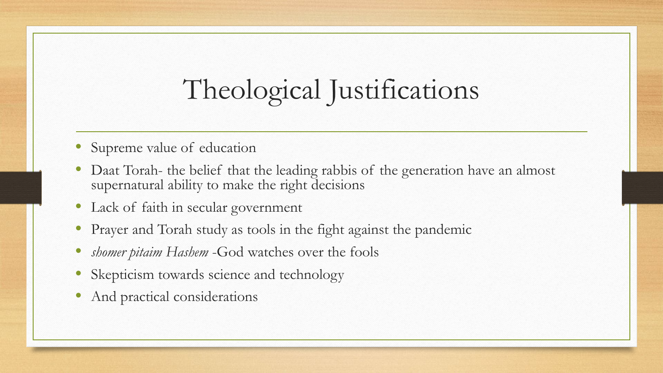### Theological Justifications

- Supreme value of education
- Daat Torah- the belief that the leading rabbis of the generation have an almost supernatural ability to make the right decisions
- Lack of faith in secular government
- Prayer and Torah study as tools in the fight against the pandemic
- *shomer pitaim Hashem* -God watches over the fools
- Skepticism towards science and technology
- And practical considerations